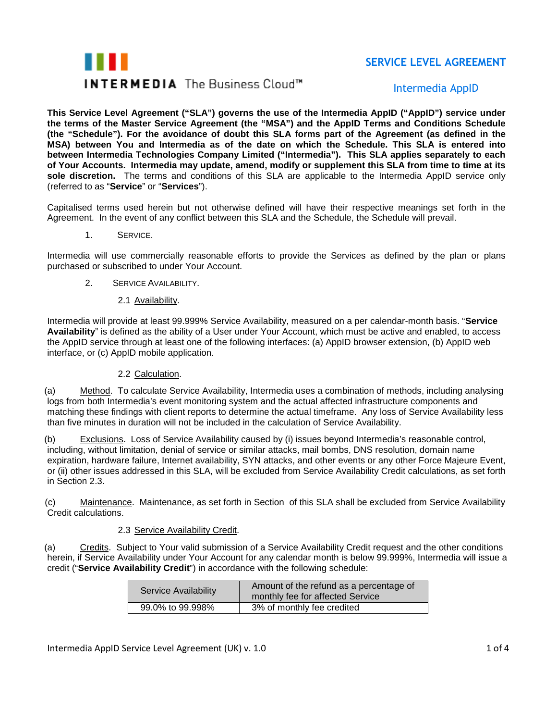# **THEFT INTERMEDIA** The Business Cloud™

# **SERVICE LEVEL AGREEMENT**

# Intermedia AppID

**This Service Level Agreement ("SLA") governs the use of the Intermedia AppID ("AppID") service under the terms of the Master Service Agreement (the "MSA") and the AppID Terms and Conditions Schedule (the "Schedule"). For the avoidance of doubt this SLA forms part of the Agreement (as defined in the MSA) between You and Intermedia as of the date on which the Schedule. This SLA is entered into between Intermedia Technologies Company Limited ("Intermedia"). This SLA applies separately to each of Your Accounts. Intermedia may update, amend, modify or supplement this SLA from time to time at its sole discretion.** The terms and conditions of this SLA are applicable to the Intermedia AppID service only (referred to as "**Service**" or "**Services**").

Capitalised terms used herein but not otherwise defined will have their respective meanings set forth in the Agreement. In the event of any conflict between this SLA and the Schedule, the Schedule will prevail.

1. SERVICE.

Intermedia will use commercially reasonable efforts to provide the Services as defined by the plan or plans purchased or subscribed to under Your Account.

- 2. SERVICE AVAILABILITY.
	- 2.1 Availability.

Intermedia will provide at least 99.999% Service Availability, measured on a per calendar-month basis. "**Service Availability**" is defined as the ability of a User under Your Account, which must be active and enabled, to access the AppID service through at least one of the following interfaces: (a) AppID browser extension, (b) AppID web interface, or (c) AppID mobile application.

## 2.2 Calculation.

(a) Method. To calculate Service Availability, Intermedia uses a combination of methods, including analysing logs from both Intermedia's event monitoring system and the actual affected infrastructure components and matching these findings with client reports to determine the actual timeframe. Any loss of Service Availability less than five minutes in duration will not be included in the calculation of Service Availability.

(b) Exclusions. Loss of Service Availability caused by (i) issues beyond Intermedia's reasonable control, including, without limitation, denial of service or similar attacks, mail bombs, DNS resolution, domain name expiration, hardware failure, Internet availability, SYN attacks, and other events or any other Force Majeure Event, or (ii) other issues addressed in this SLA, will be excluded from Service Availability Credit calculations, as set forth in Section 2.3.

(c) Maintenance. Maintenance, as set forth in Section of this SLA shall be excluded from Service Availability Credit calculations.

### 2.3 Service Availability Credit.

(a) Credits. Subject to Your valid submission of a Service Availability Credit request and the other conditions herein, if Service Availability under Your Account for any calendar month is below 99.999%, Intermedia will issue a credit ("**Service Availability Credit**") in accordance with the following schedule:

| <b>Service Availability</b> | Amount of the refund as a percentage of<br>monthly fee for affected Service |
|-----------------------------|-----------------------------------------------------------------------------|
| 99.0% to 99.998%            | 3% of monthly fee credited                                                  |

Intermedia AppID Service Level Agreement (UK) v. 1.0 1 of 4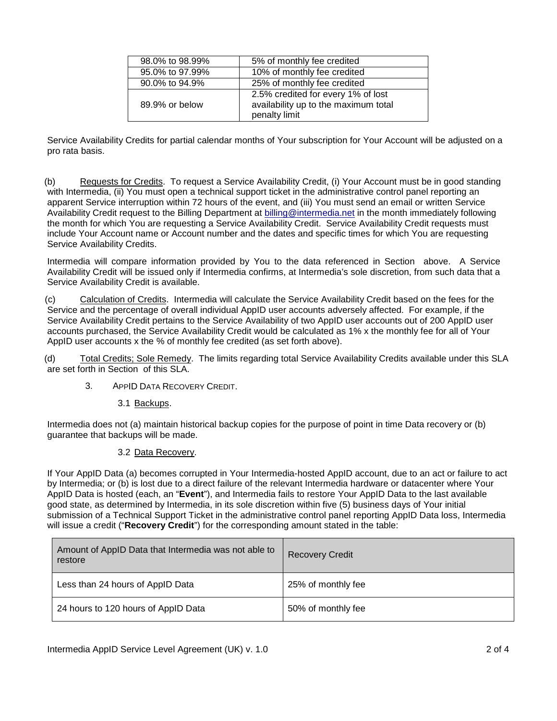| 98.0% to 98.99% | 5% of monthly fee credited                                                                  |
|-----------------|---------------------------------------------------------------------------------------------|
| 95.0% to 97.99% | 10% of monthly fee credited                                                                 |
| 90.0% to 94.9%  | 25% of monthly fee credited                                                                 |
| 89.9% or below  | 2.5% credited for every 1% of lost<br>availability up to the maximum total<br>penalty limit |

Service Availability Credits for partial calendar months of Your subscription for Your Account will be adjusted on a pro rata basis.

(b) Requests for Credits. To request a Service Availability Credit, (i) Your Account must be in good standing with Intermedia, (ii) You must open a technical support ticket in the administrative control panel reporting an apparent Service interruption within 72 hours of the event, and (iii) You must send an email or written Service Availability Credit request to the Billing Department at [billing@intermedia.net](mailto:billing@intermedia.net) in the month immediately following the month for which You are requesting a Service Availability Credit. Service Availability Credit requests must include Your Account name or Account number and the dates and specific times for which You are requesting Service Availability Credits.

Intermedia will compare information provided by You to the data referenced in Section above. A Service Availability Credit will be issued only if Intermedia confirms, at Intermedia's sole discretion, from such data that a Service Availability Credit is available.

(c) Calculation of Credits. Intermedia will calculate the Service Availability Credit based on the fees for the Service and the percentage of overall individual AppID user accounts adversely affected. For example, if the Service Availability Credit pertains to the Service Availability of two AppID user accounts out of 200 AppID user accounts purchased, the Service Availability Credit would be calculated as 1% x the monthly fee for all of Your AppID user accounts x the % of monthly fee credited (as set forth above).

(d) Total Credits; Sole Remedy. The limits regarding total Service Availability Credits available under this SLA are set forth in Section of this SLA.

- 3. APPID DATA RECOVERY CREDIT.
	- 3.1 Backups.

Intermedia does not (a) maintain historical backup copies for the purpose of point in time Data recovery or (b) guarantee that backups will be made.

### 3.2 Data Recovery.

If Your AppID Data (a) becomes corrupted in Your Intermedia-hosted AppID account, due to an act or failure to act by Intermedia; or (b) is lost due to a direct failure of the relevant Intermedia hardware or datacenter where Your AppID Data is hosted (each, an "**Event**"), and Intermedia fails to restore Your AppID Data to the last available good state, as determined by Intermedia, in its sole discretion within five (5) business days of Your initial submission of a Technical Support Ticket in the administrative control panel reporting AppID Data loss, Intermedia will issue a credit ("**Recovery Credit**") for the corresponding amount stated in the table:

| Amount of AppID Data that Intermedia was not able to<br>restore | <b>Recovery Credit</b> |
|-----------------------------------------------------------------|------------------------|
| Less than 24 hours of AppID Data                                | 25% of monthly fee     |
| 24 hours to 120 hours of AppID Data                             | 50% of monthly fee     |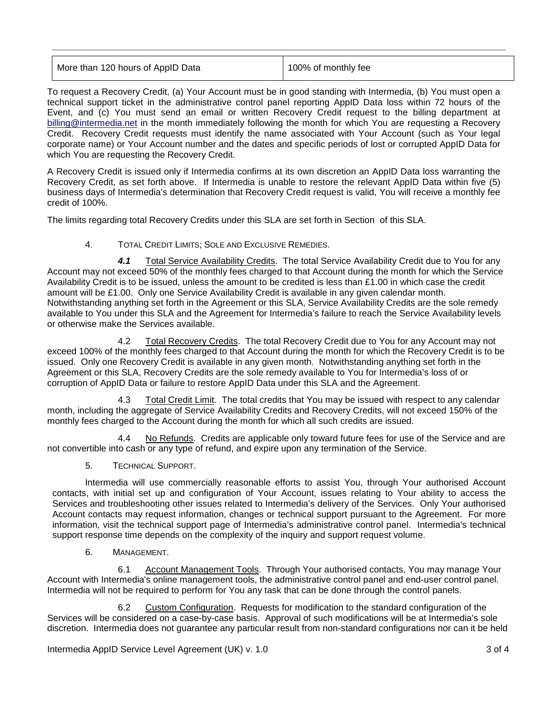| 100% of monthly fee |
|---------------------|
|                     |

To request a Recovery Credit, (a) Your Account must be in good standing with Intermedia, (b) You must open a technical support ticket in the administrative control panel reporting AppID Data loss within 72 hours of the Event, and (c) You must send an email or written Recovery Credit request to the billing department at [billing@intermedia.net](mailto:billing@intermedia.net) in the month immediately following the month for which You are requesting a Recovery Credit. Recovery Credit requests must identify the name associated with Your Account (such as Your legal corporate name) or Your Account number and the dates and specific periods of lost or corrupted AppID Data for which You are requesting the Recovery Credit.

A Recovery Credit is issued only if Intermedia confirms at its own discretion an AppID Data loss warranting the Recovery Credit, as set forth above. If Intermedia is unable to restore the relevant AppID Data within five (5) business days of Intermedia's determination that Recovery Credit request is valid, You will receive a monthly fee credit of 100%.

The limits regarding total Recovery Credits under this SLA are set forth in Section of this SLA.

### 4. TOTAL CREDIT LIMITS; SOLE AND EXCLUSIVE REMEDIES.

*4.1* Total Service Availability Credits. The total Service Availability Credit due to You for any Account may not exceed 50% of the monthly fees charged to that Account during the month for which the Service Availability Credit is to be issued, unless the amount to be credited is less than £1.00 in which case the credit amount will be £1.00. Only one Service Availability Credit is available in any given calendar month. Notwithstanding anything set forth in the Agreement or this SLA, Service Availability Credits are the sole remedy available to You under this SLA and the Agreement for Intermedia's failure to reach the Service Availability levels or otherwise make the Services available.

4.2 Total Recovery Credits. The total Recovery Credit due to You for any Account may not exceed 100% of the monthly fees charged to that Account during the month for which the Recovery Credit is to be issued. Only one Recovery Credit is available in any given month. Notwithstanding anything set forth in the Agreement or this SLA, Recovery Credits are the sole remedy available to You for Intermedia's loss of or corruption of AppID Data or failure to restore AppID Data under this SLA and the Agreement.

4.3 Total Credit Limit. The total credits that You may be issued with respect to any calendar month, including the aggregate of Service Availability Credits and Recovery Credits, will not exceed 150% of the monthly fees charged to the Account during the month for which all such credits are issued.

No Refunds. Credits are applicable only toward future fees for use of the Service and are not convertible into cash or any type of refund, and expire upon any termination of the Service.

5. TECHNICAL SUPPORT.

Intermedia will use commercially reasonable efforts to assist You, through Your authorised Account contacts, with initial set up and configuration of Your Account, issues relating to Your ability to access the Services and troubleshooting other issues related to Intermedia's delivery of the Services. Only Your authorised Account contacts may request information, changes or technical support pursuant to the Agreement. For more information, visit the technical support page of Intermedia's administrative control panel. Intermedia's technical support response time depends on the complexity of the inquiry and support request volume.

6. MANAGEMENT.

6.1 Account Management Tools. Through Your authorised contacts, You may manage Your Account with Intermedia's online management tools, the administrative control panel and end-user control panel. Intermedia will not be required to perform for You any task that can be done through the control panels.

6.2 Custom Configuration. Requests for modification to the standard configuration of the Services will be considered on a case-by-case basis. Approval of such modifications will be at Intermedia's sole discretion. Intermedia does not guarantee any particular result from non-standard configurations nor can it be held

Intermedia AppID Service Level Agreement (UK) v. 1.0 3 of 4